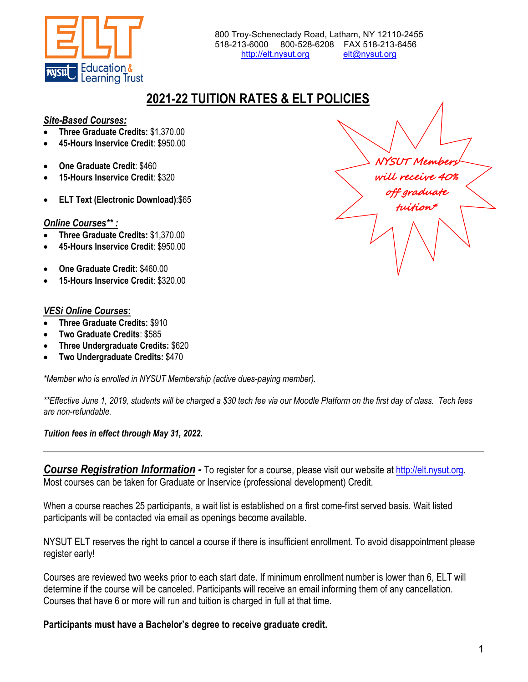

# **2021-22 TUITION RATES & ELT POLICIES**

## *Site-Based Courses:*

- **Three Graduate Credits:** \$1,370.00
- **45-Hours Inservice Credit**: \$950.00
- **One Graduate Credit**: \$460
- **15-Hours Inservice Credit**: \$320
- **ELT Text (Electronic Download)**:\$65

## *Online Courses\*\* :*

- **Three Graduate Credits:** \$1,370.00
- **45-Hours Inservice Credit**: \$950.00
- **One Graduate Credit:** \$460.00
- **15-Hours Inservice Credit**: \$320.00

## *VESi Online Courses***:**

- **Three Graduate Credits:** \$910
- **Two Graduate Credits**: \$585
- **Three Undergraduate Credits:** \$620
- **Two Undergraduate Credits:** \$470

*\*Member who is enrolled in NYSUT Membership (active dues-paying member).* 

*\*\*Effective June 1, 2019, students will be charged a \$30 tech fee via our Moodle Platform on the first day of class. Tech fees are non-refundable.*

## *Tuition fees in effect through May 31, 2022.*

*Course Registration Information -* To register for a course, please visit our website at [http://elt.nysut.org.](http://elt.nysut.org/) Most courses can be taken for Graduate or Inservice (professional development) Credit.

When a course reaches 25 participants, a wait list is established on a first come-first served basis. Wait listed participants will be contacted via email as openings become available.

NYSUT ELT reserves the right to cancel a course if there is insufficient enrollment. To avoid disappointment please register early!

Courses are reviewed two weeks prior to each start date. If minimum enrollment number is lower than 6, ELT will determine if the course will be canceled. Participants will receive an email informing them of any cancellation. Courses that have 6 or more will run and tuition is charged in full at that time.

**Participants must have a Bachelor's degree to receive graduate credit.**

NYSUT Members will receive 40% off graduate tuition\*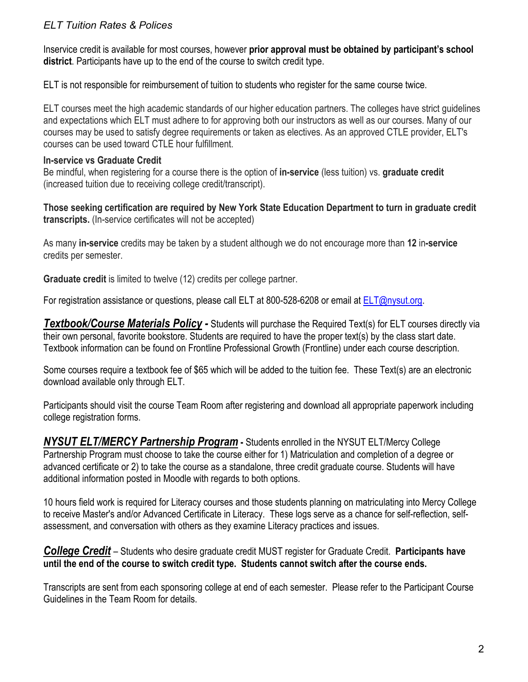# *ELT Tuition Rates & Polices*

Inservice credit is available for most courses, however **prior approval must be obtained by participant's school district**. Participants have up to the end of the course to switch credit type.

ELT is not responsible for reimbursement of tuition to students who register for the same course twice.

ELT courses meet the high academic standards of our higher education partners. The colleges have strict guidelines and expectations which ELT must adhere to for approving both our instructors as well as our courses. Many of our courses may be used to satisfy degree requirements or taken as electives. As an approved CTLE provider, ELT's courses can be used toward CTLE hour fulfillment.

## **In-service vs Graduate Credit**

Be mindful, when registering for a course there is the option of **in-service** (less tuition) vs. **graduate credit** (increased tuition due to receiving college credit/transcript).

**Those seeking certification are required by New York State Education Department to turn in graduate credit transcripts.** (In-service certificates will not be accepted)

As many **in-service** credits may be taken by a student although we do not encourage more than **12** in**-service** credits per semester.

**Graduate credit** is limited to twelve (12) credits per college partner.

For registration assistance or questions, please call ELT at 800-528-6208 or email at [ELT@nysut.org.](mailto:ELT@nysut.org)

*Textbook/Course Materials Policy -* Students will purchase the Required Text(s) for ELT courses directly via their own personal, favorite bookstore. Students are required to have the proper text(s) by the class start date. Textbook information can be found on Frontline Professional Growth (Frontline) under each course description.

Some courses require a textbook fee of \$65 which will be added to the tuition fee. These Text(s) are an electronic download available only through ELT.

Participants should visit the course Team Room after registering and download all appropriate paperwork including college registration forms.

*NYSUT ELT/MERCY Partnership Program* **-** Students enrolled in the NYSUT ELT/Mercy College Partnership Program must choose to take the course either for 1) Matriculation and completion of a degree or advanced certificate or 2) to take the course as a standalone, three credit graduate course. Students will have additional information posted in Moodle with regards to both options.

10 hours field work is required for Literacy courses and those students planning on matriculating into Mercy College to receive Master's and/or Advanced Certificate in Literacy. These logs serve as a chance for self-reflection, selfassessment, and conversation with others as they examine Literacy practices and issues.

*College Credit* – Students who desire graduate credit MUST register for Graduate Credit. **Participants have until the end of the course to switch credit type. Students cannot switch after the course ends.**

Transcripts are sent from each sponsoring college at end of each semester. Please refer to the Participant Course Guidelines in the Team Room for details.